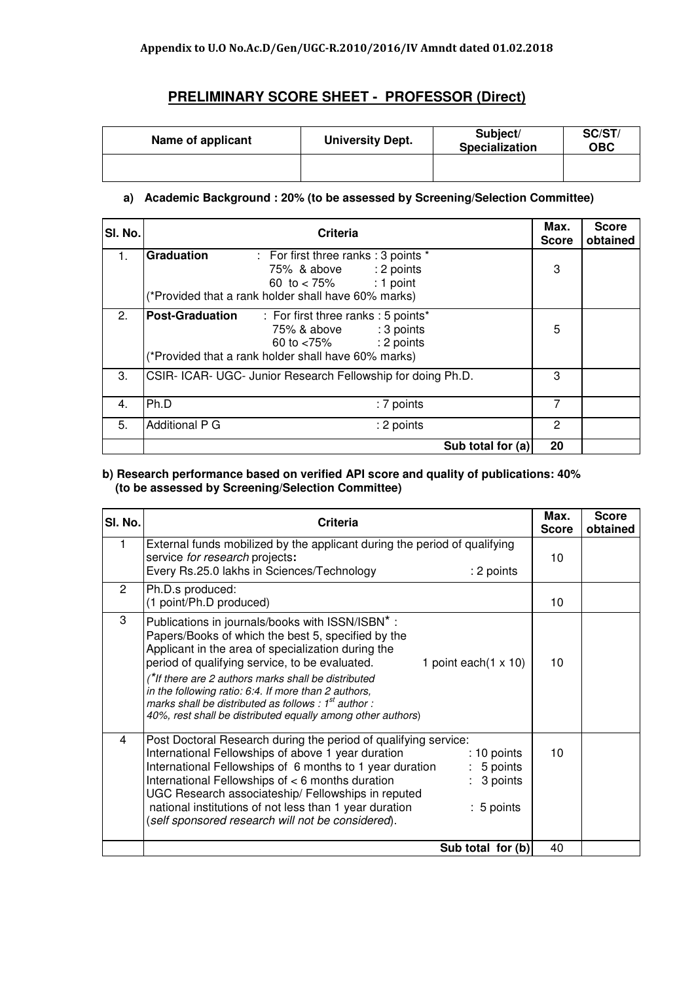# **PRELIMINARY SCORE SHEET - PROFESSOR (Direct)**

| Name of applicant | <b>University Dept.</b> | Subject/<br><b>Specialization</b> | SC/ST/<br>ОВС |
|-------------------|-------------------------|-----------------------------------|---------------|
|                   |                         |                                   |               |

## **a) Academic Background : 20% (to be assessed by Screening/Selection Committee)**

| SI. No. | <b>Criteria</b>                                            | Max.<br><b>Score</b> | <b>Score</b><br>obtained |
|---------|------------------------------------------------------------|----------------------|--------------------------|
| 1.      | Graduation<br>: For first three ranks : 3 points *         |                      |                          |
|         | 75% & above : 2 points                                     | 3                    |                          |
|         | $: 1$ point<br>60 to $< 75%$                               |                      |                          |
|         | (*Provided that a rank holder shall have 60% marks)        |                      |                          |
| 2.      | <b>Post-Graduation</b> : For first three ranks : 5 points* |                      |                          |
|         | : 3 points<br>75% & above                                  | 5                    |                          |
|         | : 2 points<br>60 to <75%                                   |                      |                          |
|         | (*Provided that a rank holder shall have 60% marks)        |                      |                          |
| 3.      | CSIR-ICAR-UGC-Junior Research Fellowship for doing Ph.D.   | 3                    |                          |
|         |                                                            |                      |                          |
| 4.      | Ph.D<br>: 7 points                                         | 7                    |                          |
| 5.      | <b>Additional P G</b><br>: 2 points                        | 2                    |                          |
|         |                                                            |                      |                          |
|         | Sub total for (a)                                          | 20                   |                          |

### **b) Research performance based on verified API score and quality of publications: 40% (to be assessed by Screening/Selection Committee)**

| SI. No. | Criteria                                                                                                                                                                                                                                                                                                                                                                                                                                                                              | Max.<br><b>Score</b> | <b>Score</b><br>obtained |
|---------|---------------------------------------------------------------------------------------------------------------------------------------------------------------------------------------------------------------------------------------------------------------------------------------------------------------------------------------------------------------------------------------------------------------------------------------------------------------------------------------|----------------------|--------------------------|
|         | External funds mobilized by the applicant during the period of qualifying<br>service for research projects:<br>Every Rs.25.0 lakhs in Sciences/Technology<br>: 2 points                                                                                                                                                                                                                                                                                                               | 10                   |                          |
| 2       | Ph.D.s produced:<br>(1 point/Ph.D produced)                                                                                                                                                                                                                                                                                                                                                                                                                                           | 10                   |                          |
| 3       | Publications in journals/books with ISSN/ISBN*:<br>Papers/Books of which the best 5, specified by the<br>Applicant in the area of specialization during the<br>period of qualifying service, to be evaluated.<br>1 point each $(1 \times 10)$<br>(*If there are 2 authors marks shall be distributed<br>in the following ratio: 6:4. If more than 2 authors,<br>marks shall be distributed as follows : $1st$ author :<br>40%, rest shall be distributed equally among other authors) | 10                   |                          |
| 4       | Post Doctoral Research during the period of qualifying service:<br>International Fellowships of above 1 year duration<br>$: 10$ points<br>International Fellowships of 6 months to 1 year duration<br>$: 5$ points<br>International Fellowships of < 6 months duration<br>3 points<br>UGC Research associateship/ Fellowships in reputed<br>national institutions of not less than 1 year duration<br>$: 5$ points<br>(self sponsored research will not be considered).               | 10                   |                          |
|         | Sub total for (b)                                                                                                                                                                                                                                                                                                                                                                                                                                                                     | 40                   |                          |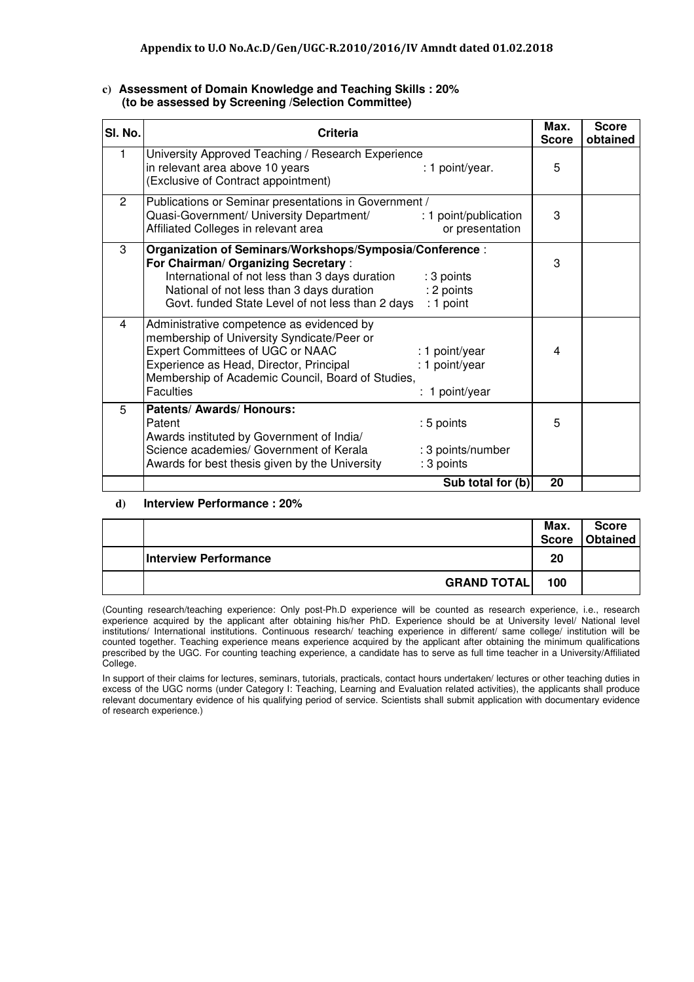| SI. No.        | Criteria                                                                                                                                                                                                                                          |                                                    | Max.<br><b>Score</b> | <b>Score</b><br>obtained |
|----------------|---------------------------------------------------------------------------------------------------------------------------------------------------------------------------------------------------------------------------------------------------|----------------------------------------------------|----------------------|--------------------------|
|                | University Approved Teaching / Research Experience<br>in relevant area above 10 years<br>(Exclusive of Contract appointment)                                                                                                                      | : 1 point/year.                                    | 5                    |                          |
| $\overline{2}$ | Publications or Seminar presentations in Government /<br>Quasi-Government/ University Department/<br>Affiliated Colleges in relevant area                                                                                                         | : 1 point/publication<br>or presentation           | 3                    |                          |
| 3              | Organization of Seminars/Workshops/Symposia/Conference:<br>For Chairman/ Organizing Secretary:<br>International of not less than 3 days duration<br>National of not less than 3 days duration<br>Govt. funded State Level of not less than 2 days | : 3 points<br>: 2 points<br>$: 1$ point            | 3                    |                          |
| 4              | Administrative competence as evidenced by<br>membership of University Syndicate/Peer or<br>Expert Committees of UGC or NAAC<br>Experience as Head, Director, Principal<br>Membership of Academic Council, Board of Studies,<br><b>Faculties</b>   | : 1 point/year<br>: 1 point/year<br>: 1 point/year | 4                    |                          |
| 5              | Patents/ Awards/ Honours:<br>Patent<br>Awards instituted by Government of India/<br>Science academies/ Government of Kerala<br>Awards for best thesis given by the University                                                                     | : 5 points<br>: 3 points/number<br>: 3 points      | 5                    |                          |
|                |                                                                                                                                                                                                                                                   | Sub total for (b)                                  | 20                   |                          |

#### **c) Assessment of Domain Knowledge and Teaching Skills : 20% (to be assessed by Screening /Selection Committee)**

#### **d) Interview Performance : 20%**

|                              | Max.<br><b>Score</b> | <b>Score</b><br>Obtained |
|------------------------------|----------------------|--------------------------|
| <b>Interview Performance</b> | 20                   |                          |
| <b>GRAND TOTAL</b>           | 100                  |                          |

(Counting research/teaching experience: Only post-Ph.D experience will be counted as research experience, i.e., research experience acquired by the applicant after obtaining his/her PhD. Experience should be at University level/ National level institutions/ International institutions. Continuous research/ teaching experience in different/ same college/ institution will be counted together. Teaching experience means experience acquired by the applicant after obtaining the minimum qualifications prescribed by the UGC. For counting teaching experience, a candidate has to serve as full time teacher in a University/Affiliated College.

In support of their claims for lectures, seminars, tutorials, practicals, contact hours undertaken/ lectures or other teaching duties in excess of the UGC norms (under Category I: Teaching, Learning and Evaluation related activities), the applicants shall produce relevant documentary evidence of his qualifying period of service. Scientists shall submit application with documentary evidence of research experience.)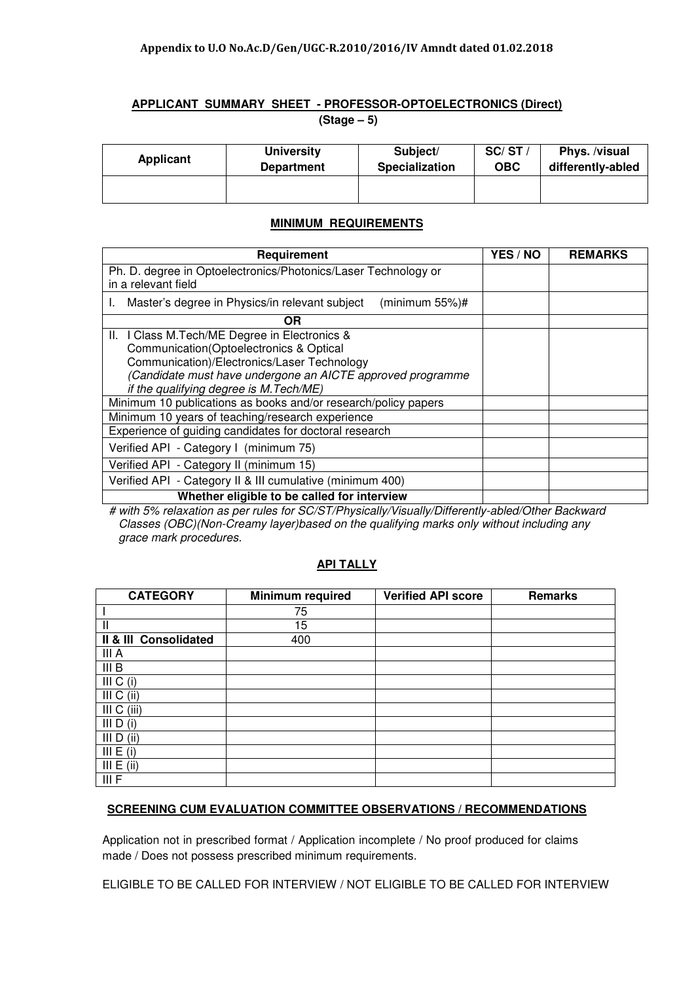## **APPLICANT SUMMARY SHEET - PROFESSOR-OPTOELECTRONICS (Direct) (Stage – 5)**

| <b>Applicant</b> | <b>University</b> | Subject/              | SC/ST/     | Phys. /visual     |
|------------------|-------------------|-----------------------|------------|-------------------|
|                  | <b>Department</b> | <b>Specialization</b> | <b>OBC</b> | differently-abled |
|                  |                   |                       |            |                   |

## **MINIMUM REQUIREMENTS**

| Requirement                                                                           | <b>YES / NO</b> | <b>REMARKS</b> |
|---------------------------------------------------------------------------------------|-----------------|----------------|
| Ph. D. degree in Optoelectronics/Photonics/Laser Technology or<br>in a relevant field |                 |                |
| Master's degree in Physics/in relevant subject<br>(minimum $55\%)$ #                  |                 |                |
| OR                                                                                    |                 |                |
| II. I Class M. Tech/ME Degree in Electronics &                                        |                 |                |
| Communication(Optoelectronics & Optical                                               |                 |                |
| Communication)/Electronics/Laser Technology                                           |                 |                |
| (Candidate must have undergone an AICTE approved programme                            |                 |                |
| if the qualifying degree is M. Tech/ME)                                               |                 |                |
| Minimum 10 publications as books and/or research/policy papers                        |                 |                |
| Minimum 10 years of teaching/research experience                                      |                 |                |
| Experience of guiding candidates for doctoral research                                |                 |                |
| Verified API - Category I (minimum 75)                                                |                 |                |
| Verified API - Category II (minimum 15)                                               |                 |                |
| Verified API - Category II & III cumulative (minimum 400)                             |                 |                |
| Whether eligible to be called for interview                                           |                 |                |

 # with 5% relaxation as per rules for SC/ST/Physically/Visually/Differently-abled/Other Backward Classes (OBC)(Non-Creamy layer)based on the qualifying marks only without including any grace mark procedures.

### **API TALLY**

| <b>CATEGORY</b>       | <b>Minimum required</b> | <b>Verified API score</b> | <b>Remarks</b> |
|-----------------------|-------------------------|---------------------------|----------------|
|                       | 75                      |                           |                |
| Ш                     | 15                      |                           |                |
| II & III Consolidated | 400                     |                           |                |
| III A                 |                         |                           |                |
| III B                 |                         |                           |                |
| III C (i)             |                         |                           |                |
| III C (ii)            |                         |                           |                |
| III C (iii)           |                         |                           |                |
| III D (i)             |                         |                           |                |
| III D (ii)            |                         |                           |                |
| III E (i)             |                         |                           |                |
| III E (ii)            |                         |                           |                |
| III F                 |                         |                           |                |

## **SCREENING CUM EVALUATION COMMITTEE OBSERVATIONS / RECOMMENDATIONS**

Application not in prescribed format / Application incomplete / No proof produced for claims made / Does not possess prescribed minimum requirements.

ELIGIBLE TO BE CALLED FOR INTERVIEW / NOT ELIGIBLE TO BE CALLED FOR INTERVIEW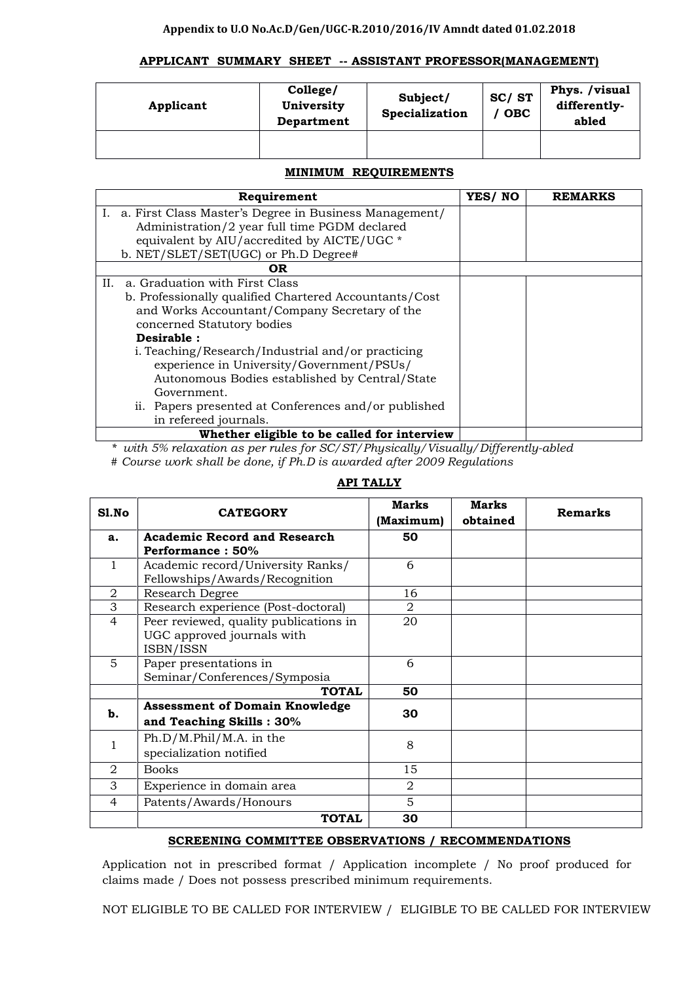### Appendix to U.O No.Ac.D/Gen/UGC-R.2010/2016/IV Amndt dated 01.02.2018

### APPLICANT SUMMARY SHEET -- ASSISTANT PROFESSOR(MANAGEMENT)

| Applicant | College/<br>University<br>Department | Subject/<br>Specialization | SC/ST<br><b>OBC</b> | Phys. /visual<br>differently-<br>abled |
|-----------|--------------------------------------|----------------------------|---------------------|----------------------------------------|
|           |                                      |                            |                     |                                        |

## MINIMUM REQUIREMENTS

| Requirement                                               | YES/NO | <b>REMARKS</b> |
|-----------------------------------------------------------|--------|----------------|
| I. a. First Class Master's Degree in Business Management/ |        |                |
| Administration/2 year full time PGDM declared             |        |                |
| equivalent by AIU/accredited by AICTE/UGC *               |        |                |
| b. NET/SLET/SET(UGC) or Ph.D Degree#                      |        |                |
| 0R                                                        |        |                |
| a. Graduation with First Class<br>II.                     |        |                |
| b. Professionally qualified Chartered Accountants/Cost    |        |                |
| and Works Accountant/Company Secretary of the             |        |                |
| concerned Statutory bodies                                |        |                |
| Desirable :                                               |        |                |
| i. Teaching/Research/Industrial and/or practicing         |        |                |
| experience in University/Government/PSUs/                 |        |                |
| Autonomous Bodies established by Central/State            |        |                |
| Government.                                               |        |                |
| ii. Papers presented at Conferences and/or published      |        |                |
| in refereed journals.                                     |        |                |
| Whether eligible to be called for interview               |        |                |

\* with 5% relaxation as per rules for SC/ST/Physically/Visually/Differently-abled

# Course work shall be done, if Ph.D is awarded after 2009 Regulations

| Sl.No          | <b>CATEGORY</b>                                                     | Marks          | Marks    | <b>Remarks</b> |
|----------------|---------------------------------------------------------------------|----------------|----------|----------------|
|                |                                                                     | (Maximum)      | obtained |                |
| a.             | <b>Academic Record and Research</b><br>Performance: 50%             | 50             |          |                |
| 1              |                                                                     | 6              |          |                |
|                | Academic record/University Ranks/<br>Fellowships/Awards/Recognition |                |          |                |
| 2              | Research Degree                                                     | 16             |          |                |
| 3              | Research experience (Post-doctoral)                                 | $\overline{2}$ |          |                |
| $\overline{4}$ | Peer reviewed, quality publications in                              | 20             |          |                |
|                | UGC approved journals with                                          |                |          |                |
|                | ISBN/ISSN                                                           |                |          |                |
| 5              | Paper presentations in                                              | 6              |          |                |
|                | Seminar/Conferences/Symposia                                        |                |          |                |
|                | <b>TOTAL</b>                                                        | 50             |          |                |
| b.             | <b>Assessment of Domain Knowledge</b>                               | 30             |          |                |
|                | and Teaching Skills: 30%                                            |                |          |                |
|                | Ph.D/M.Phil/M.A. in the                                             |                |          |                |
| 1              | specialization notified                                             | 8              |          |                |
| 2              | <b>Books</b>                                                        | 15             |          |                |
| 3              | Experience in domain area                                           | $\overline{2}$ |          |                |
| 4              | Patents/Awards/Honours                                              | 5              |          |                |
|                | <b>TOTAL</b>                                                        | 30             |          |                |

# API TALLY

## SCREENING COMMITTEE OBSERVATIONS / RECOMMENDATIONS

Application not in prescribed format / Application incomplete / No proof produced for claims made / Does not possess prescribed minimum requirements.

NOT ELIGIBLE TO BE CALLED FOR INTERVIEW / ELIGIBLE TO BE CALLED FOR INTERVIEW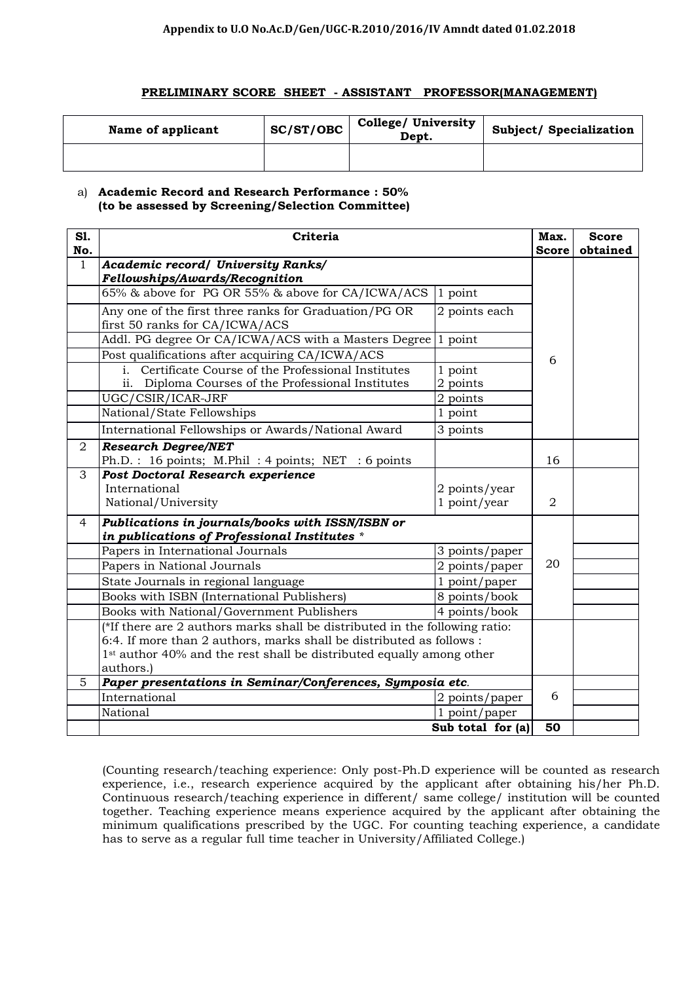#### PRELIMINARY SCORE SHEET - ASSISTANT PROFESSOR(MANAGEMENT)

| Name of applicant | SC/ST/OBC | College/ University<br>Dept. | Subject/ Specialization |
|-------------------|-----------|------------------------------|-------------------------|
|                   |           |                              |                         |

#### a) Academic Record and Research Performance : 50% (to be assessed by Screening/Selection Committee)

| <b>S1.</b><br>No. | Criteria                                                                                |                                    |              | <b>Score</b><br>obtained |
|-------------------|-----------------------------------------------------------------------------------------|------------------------------------|--------------|--------------------------|
| $\mathbf{1}$      | <b>Academic record/ University Ranks/</b>                                               |                                    | <b>Score</b> |                          |
|                   | Fellowships/Awards/Recognition                                                          |                                    |              |                          |
|                   | 65% & above for PG OR 55% & above for CA/ICWA/ACS                                       | 1 point                            |              |                          |
|                   | Any one of the first three ranks for Graduation/PG OR<br>first 50 ranks for CA/ICWA/ACS | 2 points each                      |              |                          |
|                   | Addl. PG degree Or CA/ICWA/ACS with a Masters Degree                                    | 1 point                            |              |                          |
|                   | Post qualifications after acquiring CA/ICWA/ACS                                         |                                    | 6            |                          |
|                   | Certificate Course of the Professional Institutes<br>i.                                 | 1 point                            |              |                          |
|                   | ii. Diploma Courses of the Professional Institutes                                      | 2 points                           |              |                          |
|                   | UGC/CSIR/ICAR-JRF                                                                       | 2 points                           |              |                          |
|                   | National/State Fellowships                                                              | 1 point                            |              |                          |
|                   | International Fellowships or Awards/National Award                                      | 3 points                           |              |                          |
| $\overline{2}$    | <b>Research Degree/NET</b>                                                              |                                    |              |                          |
|                   | Ph.D.: 16 points; M.Phil: 4 points; NET: 6 points                                       |                                    | 16           |                          |
| 3                 | Post Doctoral Research experience                                                       |                                    |              |                          |
|                   | International                                                                           | 2 points/year                      |              |                          |
|                   | National/University                                                                     | 1 point/year                       | 2            |                          |
| 4                 | Publications in journals/books with ISSN/ISBN or                                        |                                    |              |                          |
|                   | in publications of Professional Institutes *                                            |                                    |              |                          |
|                   | Papers in International Journals                                                        | 3 points/paper                     |              |                          |
|                   | Papers in National Journals                                                             | 2 points/paper                     | 20           |                          |
|                   | State Journals in regional language                                                     | 1 point/paper                      |              |                          |
|                   | Books with ISBN (International Publishers)                                              | 8 points/book                      |              |                          |
|                   | Books with National/Government Publishers                                               | 4 points/book                      |              |                          |
|                   | $*$ If there are 2 authors marks shall be distributed in the following ratio:           |                                    |              |                          |
|                   | 6:4. If more than 2 authors, marks shall be distributed as follows :                    |                                    |              |                          |
|                   | 1 <sup>st</sup> author 40% and the rest shall be distributed equally among other        |                                    |              |                          |
|                   | authors.)                                                                               |                                    |              |                          |
| 5                 | Paper presentations in Seminar/Conferences, Symposia etc.                               |                                    |              |                          |
|                   | International                                                                           | 2 points/paper                     | 6            |                          |
|                   | National                                                                                | 1 point/paper<br>Sub total for (a) |              |                          |
|                   |                                                                                         | 50                                 |              |                          |

(Counting research/teaching experience: Only post-Ph.D experience will be counted as research experience, i.e., research experience acquired by the applicant after obtaining his/her Ph.D. Continuous research/teaching experience in different/ same college/ institution will be counted together. Teaching experience means experience acquired by the applicant after obtaining the minimum qualifications prescribed by the UGC. For counting teaching experience, a candidate has to serve as a regular full time teacher in University/Affiliated College.)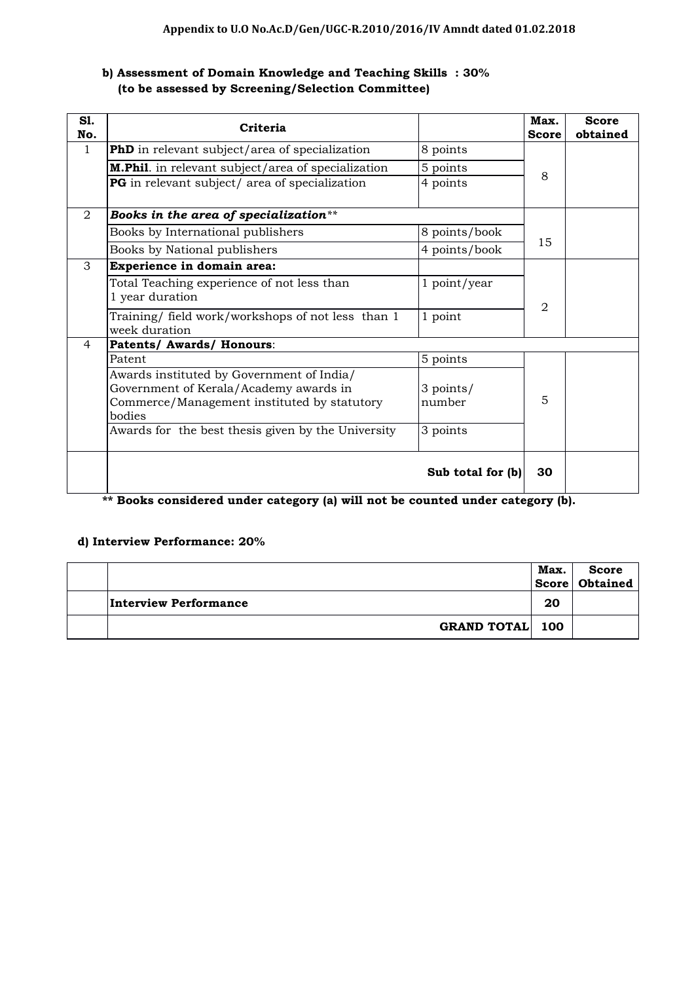# b) Assessment of Domain Knowledge and Teaching Skills : 30% (to be assessed by Screening/Selection Committee)

| <b>S1.</b><br>No. | Criteria                                                                                                                                     |                     | Max.<br><b>Score</b> | <b>Score</b><br>obtained |
|-------------------|----------------------------------------------------------------------------------------------------------------------------------------------|---------------------|----------------------|--------------------------|
| 1                 | PhD in relevant subject/area of specialization                                                                                               | 8 points            |                      |                          |
|                   | M.Phil. in relevant subject/area of specialization                                                                                           | 5 points            | 8                    |                          |
|                   | PG in relevant subject/ area of specialization                                                                                               | 4 points            |                      |                          |
| 2                 | Books in the area of specialization**                                                                                                        |                     |                      |                          |
|                   | Books by International publishers                                                                                                            | 8 points/book       |                      |                          |
|                   | Books by National publishers                                                                                                                 | 4 points/book       | 15                   |                          |
| $\mathcal{S}$     | Experience in domain area:                                                                                                                   |                     |                      |                          |
|                   | Total Teaching experience of not less than<br>1 year duration                                                                                | 1 point/year        | $\overline{2}$       |                          |
|                   | Training/ field work/workshops of not less than 1<br>week duration                                                                           | 1 point             |                      |                          |
| $\overline{4}$    | Patents/ Awards/ Honours:                                                                                                                    |                     |                      |                          |
|                   | Patent                                                                                                                                       | 5 points            |                      |                          |
|                   | Awards instituted by Government of India/<br>Government of Kerala/Academy awards in<br>Commerce/Management instituted by statutory<br>bodies | 3 points/<br>number | 5                    |                          |
|                   | Awards for the best thesis given by the University                                                                                           | 3 points            |                      |                          |
|                   |                                                                                                                                              | Sub total for (b)   | 30                   |                          |

Books considered under category (a) will not be counted under category (b).

## d) Interview Performance: 20%

|                        | Max. | <b>Score</b><br>Score   Obtained |
|------------------------|------|----------------------------------|
| Interview Performance  | 20   |                                  |
| <b>GRAND TOTAL 100</b> |      |                                  |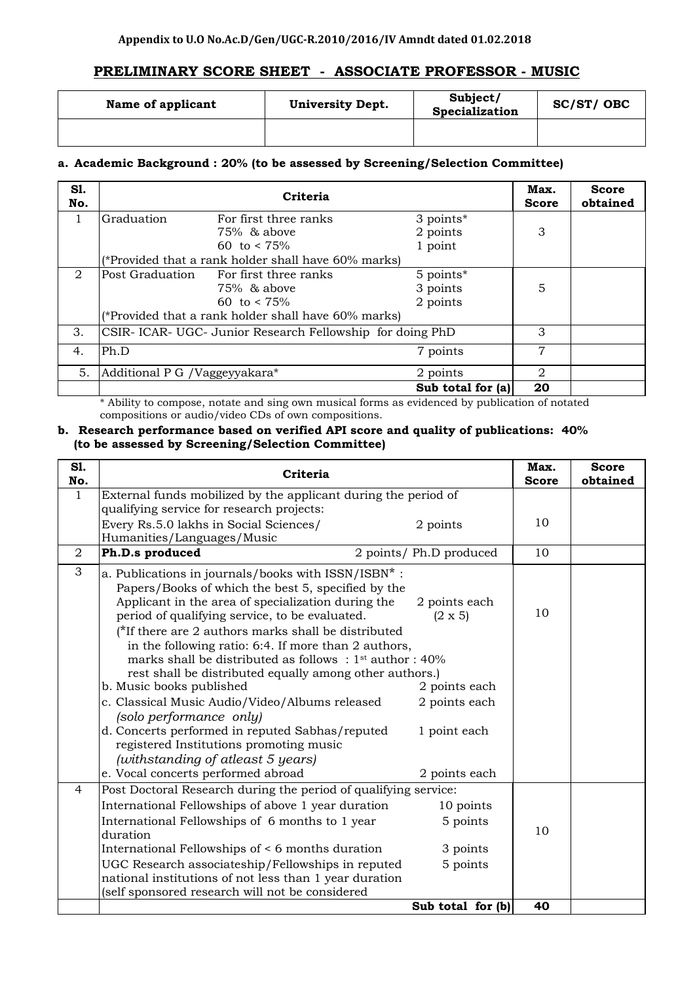# **PRELIMINARY SCORE SHEET - ASSOCIATE PROFESSOR - MUSIC**

| Name of applicant | <b>University Dept.</b> | Subject/<br>Specialization | SC/ST/OBC |
|-------------------|-------------------------|----------------------------|-----------|
|                   |                         |                            |           |

## **a. Academic Background : 20% (to be assessed by Screening/Selection Committee)**

| S1.<br>No. | Criteria                      |                                                        |                     | Max.<br><b>Score</b> | <b>Score</b><br>obtained |
|------------|-------------------------------|--------------------------------------------------------|---------------------|----------------------|--------------------------|
| 1          | Graduation                    | For first three ranks                                  | 3 points*           |                      |                          |
|            |                               | $75\%$ & above                                         | 2 points            | 3                    |                          |
|            |                               | 60 to $< 75\%$                                         | 1 point             |                      |                          |
|            |                               | (*Provided that a rank holder shall have 60% marks)    |                     |                      |                          |
| 2          | Post Graduation               | For first three ranks                                  | 5 points*           |                      |                          |
|            |                               | 75% & above                                            | 3 points            | 5                    |                          |
|            |                               | 60 to $\lt 75\%$                                       | 2 points            |                      |                          |
|            |                               | (*Provided that a rank holder shall have 60% marks)    |                     |                      |                          |
| 3.         |                               | CSIR-ICAR-UGC-Junior Research Fellowship for doing PhD |                     | 3                    |                          |
| 4.         | Ph.D                          |                                                        | 7 points            | 7                    |                          |
| 5.         | Additional P G /Vaggeyyakara* |                                                        | 2 points            | 2                    |                          |
|            |                               |                                                        | Sub total for $(a)$ | 20                   |                          |

\* Ability to compose, notate and sing own musical forms as evidenced by publication of notated compositions or audio/video CDs of own compositions.

#### **b. Research performance based on verified API score and quality of publications: 40% (to be assessed by Screening/Selection Committee)**

| <b>S1.</b><br>No. | Criteria                                                                                                                                                                                                                                                                                                                                                                                                                                                                                                                                                                                                                                                                                                                                    |                                                                                                    |    | <b>Score</b><br>obtained |
|-------------------|---------------------------------------------------------------------------------------------------------------------------------------------------------------------------------------------------------------------------------------------------------------------------------------------------------------------------------------------------------------------------------------------------------------------------------------------------------------------------------------------------------------------------------------------------------------------------------------------------------------------------------------------------------------------------------------------------------------------------------------------|----------------------------------------------------------------------------------------------------|----|--------------------------|
| 1                 | External funds mobilized by the applicant during the period of                                                                                                                                                                                                                                                                                                                                                                                                                                                                                                                                                                                                                                                                              |                                                                                                    |    |                          |
|                   | qualifying service for research projects:                                                                                                                                                                                                                                                                                                                                                                                                                                                                                                                                                                                                                                                                                                   |                                                                                                    |    |                          |
|                   | Every Rs.5.0 lakhs in Social Sciences/<br>2 points                                                                                                                                                                                                                                                                                                                                                                                                                                                                                                                                                                                                                                                                                          |                                                                                                    | 10 |                          |
|                   | Humanities/Languages/Music                                                                                                                                                                                                                                                                                                                                                                                                                                                                                                                                                                                                                                                                                                                  |                                                                                                    |    |                          |
| $\overline{2}$    | Ph.D.s produced<br>2 points/ Ph.D produced                                                                                                                                                                                                                                                                                                                                                                                                                                                                                                                                                                                                                                                                                                  |                                                                                                    | 10 |                          |
| 3                 | a. Publications in journals/books with ISSN/ISBN*:<br>Papers/Books of which the best 5, specified by the<br>Applicant in the area of specialization during the<br>period of qualifying service, to be evaluated.<br>(*If there are 2 authors marks shall be distributed<br>in the following ratio: 6:4. If more than 2 authors,<br>marks shall be distributed as follows: $1st$ author: $40\%$<br>rest shall be distributed equally among other authors.)<br>b. Music books published<br>c. Classical Music Audio/Video/Albums released<br>(solo performance only)<br>d. Concerts performed in reputed Sabhas/reputed<br>registered Institutions promoting music<br>(withstanding of atleast 5 years)<br>e. Vocal concerts performed abroad | 2 points each<br>$(2 \times 5)$<br>2 points each<br>2 points each<br>1 point each<br>2 points each | 10 |                          |
| 4                 | Post Doctoral Research during the period of qualifying service:                                                                                                                                                                                                                                                                                                                                                                                                                                                                                                                                                                                                                                                                             |                                                                                                    |    |                          |
|                   | International Fellowships of above 1 year duration                                                                                                                                                                                                                                                                                                                                                                                                                                                                                                                                                                                                                                                                                          | 10 points                                                                                          |    |                          |
|                   | International Fellowships of 6 months to 1 year                                                                                                                                                                                                                                                                                                                                                                                                                                                                                                                                                                                                                                                                                             | 5 points                                                                                           | 10 |                          |
|                   | duration<br>International Fellowships of < 6 months duration                                                                                                                                                                                                                                                                                                                                                                                                                                                                                                                                                                                                                                                                                | 3 points                                                                                           |    |                          |
|                   |                                                                                                                                                                                                                                                                                                                                                                                                                                                                                                                                                                                                                                                                                                                                             |                                                                                                    |    |                          |
|                   | UGC Research associateship/Fellowships in reputed<br>national institutions of not less than 1 year duration                                                                                                                                                                                                                                                                                                                                                                                                                                                                                                                                                                                                                                 | 5 points                                                                                           |    |                          |
|                   | (self sponsored research will not be considered                                                                                                                                                                                                                                                                                                                                                                                                                                                                                                                                                                                                                                                                                             |                                                                                                    |    |                          |
|                   |                                                                                                                                                                                                                                                                                                                                                                                                                                                                                                                                                                                                                                                                                                                                             | Sub total for (b)                                                                                  | 40 |                          |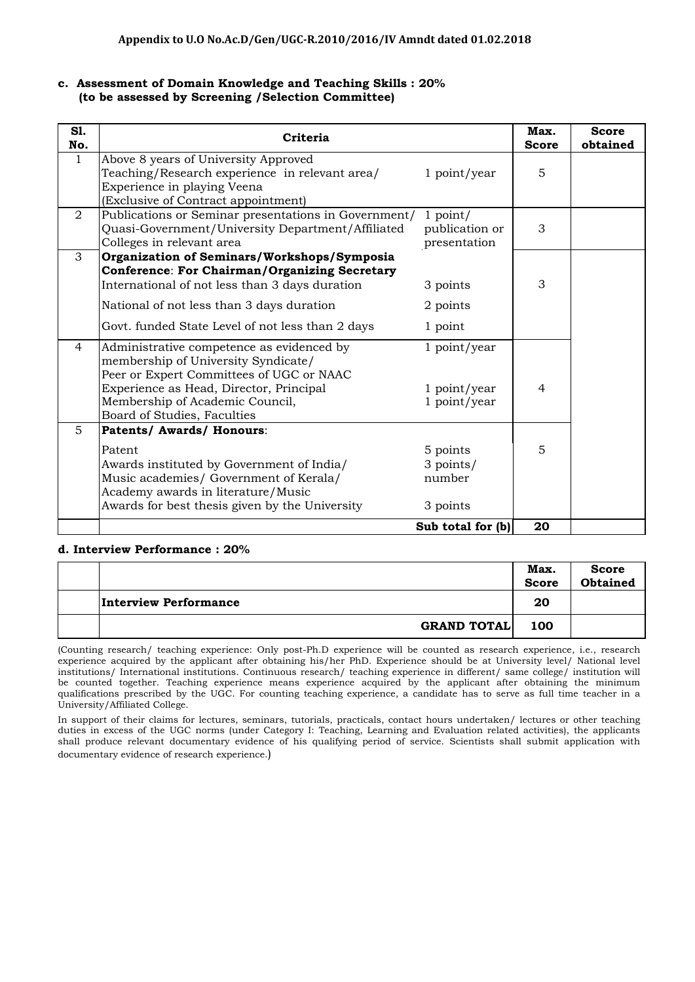### **c. Assessment of Domain Knowledge and Teaching Skills : 20% (to be assessed by Screening /Selection Committee)**

| <b>S1.</b><br>No. | Criteria                                                                                                                                                                                                                                               |                                              | Max.<br><b>Score</b> | <b>Score</b><br>obtained |
|-------------------|--------------------------------------------------------------------------------------------------------------------------------------------------------------------------------------------------------------------------------------------------------|----------------------------------------------|----------------------|--------------------------|
| $\mathbf{1}$      | Above 8 years of University Approved<br>Teaching/Research experience in relevant area/<br>Experience in playing Veena<br>(Exclusive of Contract appointment)                                                                                           | 1 point/year                                 | 5                    |                          |
| $\overline{2}$    | Publications or Seminar presentations in Government/<br>Quasi-Government/University Department/Affiliated<br>Colleges in relevant area                                                                                                                 | $1$ point/<br>publication or<br>presentation | 3                    |                          |
| 3                 | Organization of Seminars/Workshops/Symposia<br><b>Conference: For Chairman/Organizing Secretary</b><br>International of not less than 3 days duration<br>National of not less than 3 days duration<br>Govt. funded State Level of not less than 2 days | 3 points<br>2 points<br>1 point              | 3                    |                          |
| 4                 | Administrative competence as evidenced by<br>membership of University Syndicate/<br>Peer or Expert Committees of UGC or NAAC<br>Experience as Head, Director, Principal<br>Membership of Academic Council,<br>Board of Studies, Faculties              | 1 point/year<br>1 point/year<br>1 point/year | $\overline{4}$       |                          |
| 5                 | Patents/ Awards/ Honours:<br>Patent<br>Awards instituted by Government of India/<br>Music academies/ Government of Kerala/<br>Academy awards in literature/Music<br>Awards for best thesis given by the University                                     | 5 points<br>3 points/<br>number<br>3 points  | 5                    |                          |
|                   |                                                                                                                                                                                                                                                        | Sub total for (b)                            | 20                   |                          |

#### **d. Interview Performance : 20%**

|                              | Max.<br><b>Score</b> | <b>Score</b><br><b>Obtained</b> |
|------------------------------|----------------------|---------------------------------|
| <b>Interview Performance</b> | 20                   |                                 |
| <b>GRAND TOTAL</b>           | 100                  |                                 |

(Counting research/ teaching experience: Only post-Ph.D experience will be counted as research experience, i.e., research experience acquired by the applicant after obtaining his/her PhD. Experience should be at University level/ National level institutions/ International institutions. Continuous research/ teaching experience in different/ same college/ institution will be counted together. Teaching experience means experience acquired by the applicant after obtaining the minimum qualifications prescribed by the UGC. For counting teaching experience, a candidate has to serve as full time teacher in a University/Affiliated College.

In support of their claims for lectures, seminars, tutorials, practicals, contact hours undertaken/ lectures or other teaching duties in excess of the UGC norms (under Category I: Teaching, Learning and Evaluation related activities), the applicants shall produce relevant documentary evidence of his qualifying period of service. Scientists shall submit application with documentary evidence of research experience.)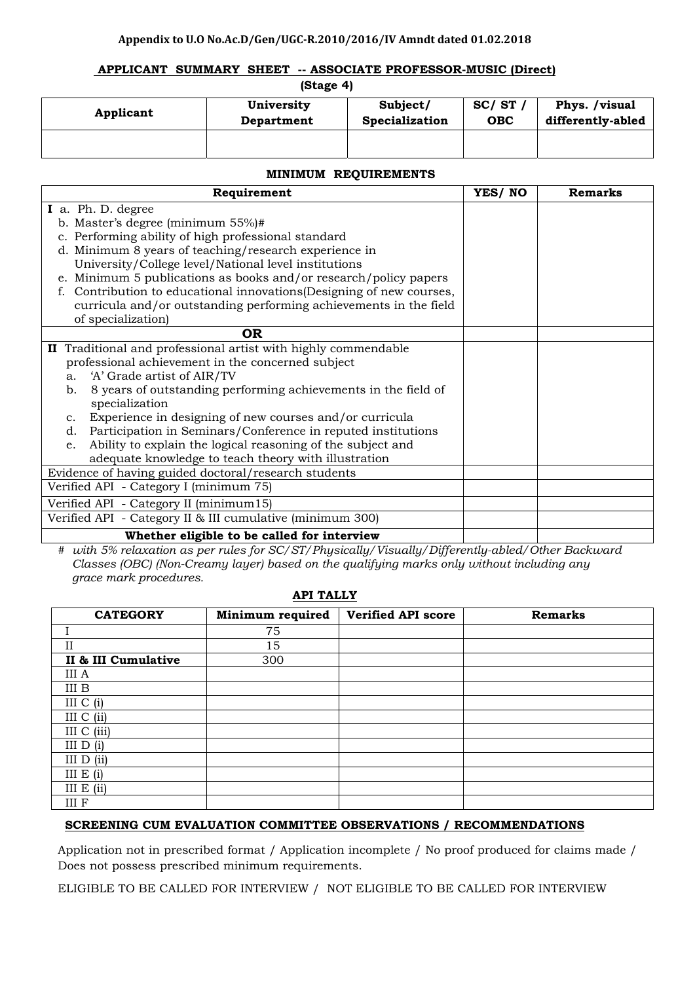#### **Appendix to U.O No.Ac.D/Gen/UGC‐R.2010/2016/IV Amndt dated 01.02.2018**

#### **APPLICANT SUMMARY SHEET -- ASSOCIATE PROFESSOR-MUSIC (Direct)**

 **(Stage 4)** 

| Applicant | University | Subject/              | SC/ST      | Phys. /visual     |
|-----------|------------|-----------------------|------------|-------------------|
|           | Department | <b>Specialization</b> | <b>OBC</b> | differently-abled |
|           |            |                       |            |                   |

| <b>MINIMUM REQUIREMENTS</b>                                                                                                                                                                                                                                                                                                                                                                                                                                                                                                       |        |         |  |  |  |
|-----------------------------------------------------------------------------------------------------------------------------------------------------------------------------------------------------------------------------------------------------------------------------------------------------------------------------------------------------------------------------------------------------------------------------------------------------------------------------------------------------------------------------------|--------|---------|--|--|--|
| Requirement                                                                                                                                                                                                                                                                                                                                                                                                                                                                                                                       | YES/NO | Remarks |  |  |  |
| I a. Ph. D. degree<br>b. Master's degree (minimum $55\%$ )#<br>c. Performing ability of high professional standard<br>d. Minimum 8 years of teaching/research experience in<br>University/College level/National level institutions<br>e. Minimum 5 publications as books and/or research/policy papers<br>f. Contribution to educational innovations (Designing of new courses,<br>curricula and/or outstanding performing achievements in the field<br>of specialization)                                                       |        |         |  |  |  |
| <b>OR</b>                                                                                                                                                                                                                                                                                                                                                                                                                                                                                                                         |        |         |  |  |  |
| II Traditional and professional artist with highly commendable<br>professional achievement in the concerned subject<br>'A' Grade artist of AIR/TV<br>a.<br>8 years of outstanding performing achievements in the field of<br>b.<br>specialization<br>Experience in designing of new courses and/or curricula<br>$\mathbf{c}$ .<br>Participation in Seminars/Conference in reputed institutions<br>d.<br>Ability to explain the logical reasoning of the subject and<br>e.<br>adequate knowledge to teach theory with illustration |        |         |  |  |  |
| Evidence of having guided doctoral/research students                                                                                                                                                                                                                                                                                                                                                                                                                                                                              |        |         |  |  |  |
| Verified API - Category I (minimum 75)                                                                                                                                                                                                                                                                                                                                                                                                                                                                                            |        |         |  |  |  |
| Verified API - Category II (minimum15)<br>Verified API - Category II & III cumulative (minimum 300)                                                                                                                                                                                                                                                                                                                                                                                                                               |        |         |  |  |  |
| Whather aligible to be colled for interview                                                                                                                                                                                                                                                                                                                                                                                                                                                                                       |        |         |  |  |  |

**Whether eligible to be called for interview** 

*# with 5% relaxation as per rules for SC/ST/Physically/Visually/Differently-abled/Other Backward Classes (OBC) (Non-Creamy layer) based on the qualifying marks only without including any grace mark procedures.* 

#### **API TALLY**

| <b>CATEGORY</b>     | Minimum required | <b>Verified API score</b> | <b>Remarks</b> |
|---------------------|------------------|---------------------------|----------------|
|                     | 75               |                           |                |
| $_{\rm II}$         | 15               |                           |                |
| II & III Cumulative | 300              |                           |                |
| III A               |                  |                           |                |
| $\rm III$ B         |                  |                           |                |
| III $C(i)$          |                  |                           |                |
| III C (ii)          |                  |                           |                |
| III C (iii)         |                  |                           |                |
| III $D(i)$          |                  |                           |                |
| III $D(i)$          |                  |                           |                |
| III $E(i)$          |                  |                           |                |
| III E (ii)          |                  |                           |                |
| $\rm III$ $\rm F$   |                  |                           |                |

#### **SCREENING CUM EVALUATION COMMITTEE OBSERVATIONS / RECOMMENDATIONS**

Application not in prescribed format / Application incomplete / No proof produced for claims made / Does not possess prescribed minimum requirements.

ELIGIBLE TO BE CALLED FOR INTERVIEW / NOT ELIGIBLE TO BE CALLED FOR INTERVIEW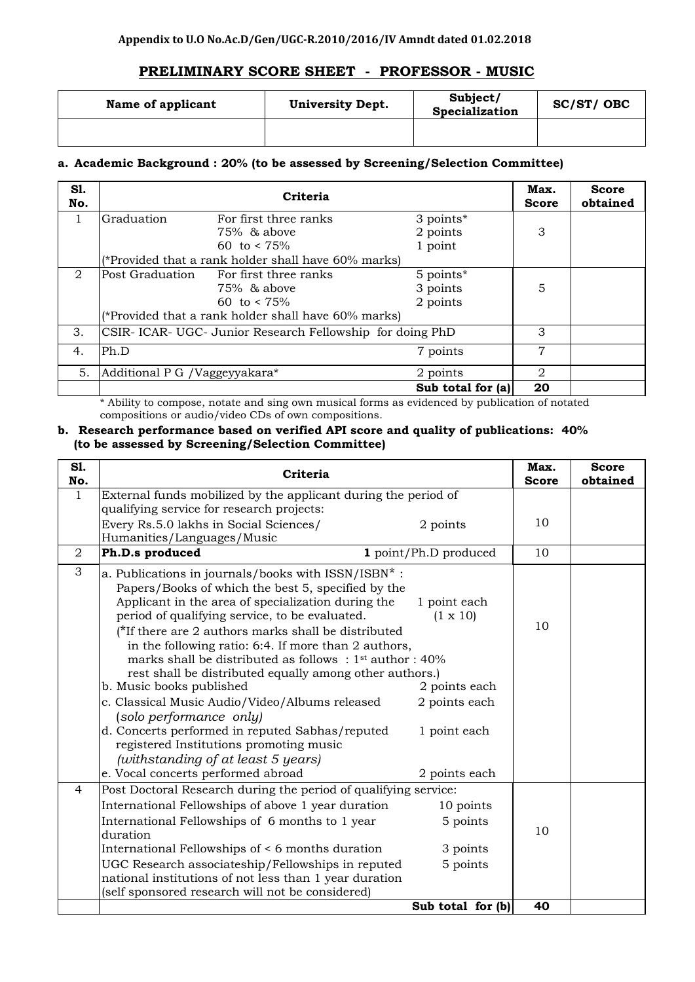# **PRELIMINARY SCORE SHEET - PROFESSOR - MUSIC**

| Name of applicant | <b>University Dept.</b> | Subject/<br>Specialization | SC/ST/OBC |
|-------------------|-------------------------|----------------------------|-----------|
|                   |                         |                            |           |

## **a. Academic Background : 20% (to be assessed by Screening/Selection Committee)**

| S1.<br>No. |                               | Criteria                                               |                     | Max.<br><b>Score</b> | <b>Score</b><br>obtained |
|------------|-------------------------------|--------------------------------------------------------|---------------------|----------------------|--------------------------|
|            | Graduation                    | For first three ranks                                  | 3 points*           |                      |                          |
|            |                               | $75\%$ & above                                         | 2 points            | 3                    |                          |
|            |                               | 60 to $\lt 75\%$                                       | 1 point             |                      |                          |
|            |                               | (*Provided that a rank holder shall have 60% marks)    |                     |                      |                          |
| 2          | Post Graduation               | For first three ranks                                  | 5 points*           |                      |                          |
|            |                               | 75% & above                                            | 3 points            | 5                    |                          |
|            |                               | 60 to $\lt 75\%$                                       | 2 points            |                      |                          |
|            |                               | (*Provided that a rank holder shall have 60% marks)    |                     |                      |                          |
| 3.         |                               | CSIR-ICAR-UGC-Junior Research Fellowship for doing PhD |                     | 3                    |                          |
| 4.         | Ph.D                          |                                                        | 7 points            | 7                    |                          |
| 5.         | Additional P G /Vaggeyyakara* |                                                        | 2 points            | 2                    |                          |
|            |                               |                                                        | Sub total for $ a $ | 20                   |                          |

\* Ability to compose, notate and sing own musical forms as evidenced by publication of notated compositions or audio/video CDs of own compositions.

#### **b. Research performance based on verified API score and quality of publications: 40% (to be assessed by Screening/Selection Committee)**

| S1.<br>No.       | Criteria                                                                                                                                                                                                                                                                                                                                                                                                                                                                                                                                                                                                                                                                                                                                  |                                                                                                    |    | <b>Score</b><br>obtained |
|------------------|-------------------------------------------------------------------------------------------------------------------------------------------------------------------------------------------------------------------------------------------------------------------------------------------------------------------------------------------------------------------------------------------------------------------------------------------------------------------------------------------------------------------------------------------------------------------------------------------------------------------------------------------------------------------------------------------------------------------------------------------|----------------------------------------------------------------------------------------------------|----|--------------------------|
| 1                | External funds mobilized by the applicant during the period of                                                                                                                                                                                                                                                                                                                                                                                                                                                                                                                                                                                                                                                                            |                                                                                                    |    |                          |
|                  | qualifying service for research projects:                                                                                                                                                                                                                                                                                                                                                                                                                                                                                                                                                                                                                                                                                                 |                                                                                                    |    |                          |
|                  | Every Rs.5.0 lakhs in Social Sciences/                                                                                                                                                                                                                                                                                                                                                                                                                                                                                                                                                                                                                                                                                                    | 2 points                                                                                           | 10 |                          |
|                  | Humanities/Languages/Music                                                                                                                                                                                                                                                                                                                                                                                                                                                                                                                                                                                                                                                                                                                |                                                                                                    |    |                          |
| $\boldsymbol{2}$ | Ph.D.s produced                                                                                                                                                                                                                                                                                                                                                                                                                                                                                                                                                                                                                                                                                                                           | 1 point/Ph.D produced                                                                              | 10 |                          |
| 3                | a. Publications in journals/books with ISSN/ISBN*:<br>Papers/Books of which the best 5, specified by the<br>Applicant in the area of specialization during the<br>period of qualifying service, to be evaluated.<br>(*If there are 2 authors marks shall be distributed<br>in the following ratio: 6:4. If more than 2 authors,<br>marks shall be distributed as follows: $1st$ author: 40%<br>rest shall be distributed equally among other authors.)<br>b. Music books published<br>c. Classical Music Audio/Video/Albums released<br>(solo performance only)<br>d. Concerts performed in reputed Sabhas/reputed<br>registered Institutions promoting music<br>(withstanding of at least 5 years)<br>e. Vocal concerts performed abroad | 1 point each<br>$(1 \times 10)$<br>2 points each<br>2 points each<br>1 point each<br>2 points each | 10 |                          |
| 4                | Post Doctoral Research during the period of qualifying service:                                                                                                                                                                                                                                                                                                                                                                                                                                                                                                                                                                                                                                                                           |                                                                                                    |    |                          |
|                  | International Fellowships of above 1 year duration                                                                                                                                                                                                                                                                                                                                                                                                                                                                                                                                                                                                                                                                                        | 10 points                                                                                          |    |                          |
|                  | International Fellowships of 6 months to 1 year<br>duration                                                                                                                                                                                                                                                                                                                                                                                                                                                                                                                                                                                                                                                                               | 5 points                                                                                           | 10 |                          |
|                  | International Fellowships of < 6 months duration                                                                                                                                                                                                                                                                                                                                                                                                                                                                                                                                                                                                                                                                                          | 3 points                                                                                           |    |                          |
|                  | UGC Research associateship/Fellowships in reputed                                                                                                                                                                                                                                                                                                                                                                                                                                                                                                                                                                                                                                                                                         | 5 points                                                                                           |    |                          |
|                  | national institutions of not less than 1 year duration                                                                                                                                                                                                                                                                                                                                                                                                                                                                                                                                                                                                                                                                                    |                                                                                                    |    |                          |
|                  | (self sponsored research will not be considered)                                                                                                                                                                                                                                                                                                                                                                                                                                                                                                                                                                                                                                                                                          |                                                                                                    | 40 |                          |
|                  |                                                                                                                                                                                                                                                                                                                                                                                                                                                                                                                                                                                                                                                                                                                                           | Sub total for (b)                                                                                  |    |                          |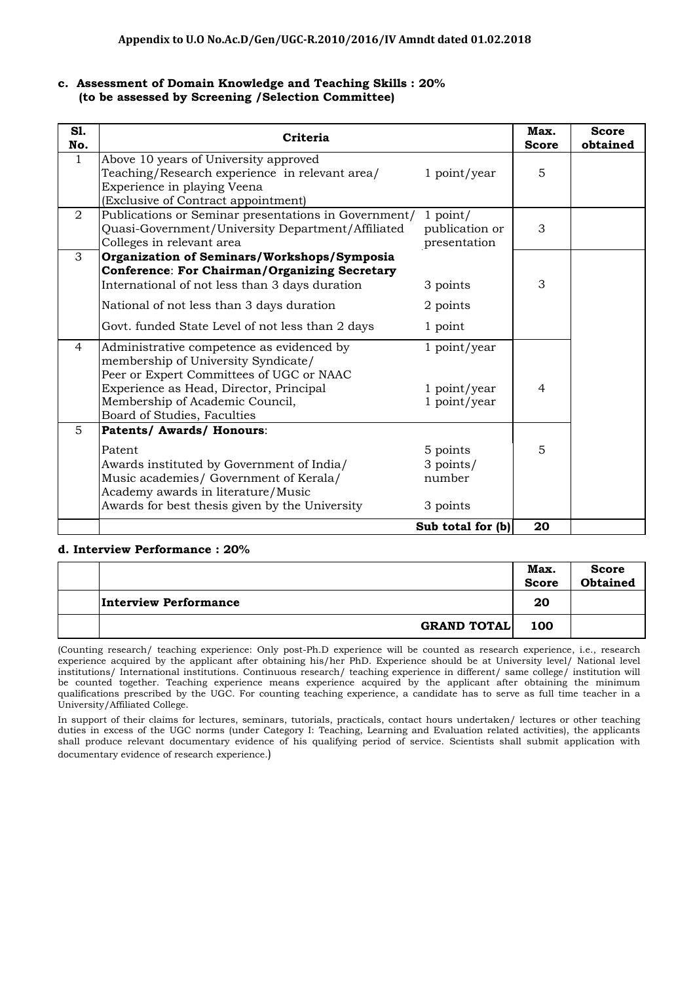### **c. Assessment of Domain Knowledge and Teaching Skills : 20% (to be assessed by Screening /Selection Committee)**

| S1.<br>No.   | Criteria                                                                                                                                                                                                                                               |                                              | Max.<br><b>Score</b> | <b>Score</b><br>obtained |
|--------------|--------------------------------------------------------------------------------------------------------------------------------------------------------------------------------------------------------------------------------------------------------|----------------------------------------------|----------------------|--------------------------|
| $\mathbf{1}$ | Above 10 years of University approved<br>Teaching/Research experience in relevant area/<br>Experience in playing Veena<br>(Exclusive of Contract appointment)                                                                                          | 1 point/year                                 | 5                    |                          |
| 2            | Publications or Seminar presentations in Government/<br>Quasi-Government/University Department/Affiliated<br>Colleges in relevant area                                                                                                                 | $1$ point/<br>publication or<br>presentation | 3                    |                          |
| 3            | Organization of Seminars/Workshops/Symposia<br><b>Conference: For Chairman/Organizing Secretary</b><br>International of not less than 3 days duration<br>National of not less than 3 days duration<br>Govt. funded State Level of not less than 2 days | 3 points<br>2 points<br>1 point              | 3                    |                          |
| 4            | Administrative competence as evidenced by<br>membership of University Syndicate/<br>Peer or Expert Committees of UGC or NAAC<br>Experience as Head, Director, Principal<br>Membership of Academic Council,<br>Board of Studies, Faculties              | 1 point/year<br>1 point/year<br>1 point/year | $\overline{4}$       |                          |
| 5            | Patents/ Awards/ Honours:<br>Patent<br>Awards instituted by Government of India/<br>Music academies/ Government of Kerala/<br>Academy awards in literature/Music<br>Awards for best thesis given by the University                                     | 5 points<br>3 points/<br>number<br>3 points  | 5                    |                          |
|              |                                                                                                                                                                                                                                                        | Sub total for (b)                            | 20                   |                          |

#### **d. Interview Performance : 20%**

|                              | Max.<br><b>Score</b> | <b>Score</b><br><b>Obtained</b> |
|------------------------------|----------------------|---------------------------------|
| <b>Interview Performance</b> | 20                   |                                 |
| <b>GRAND TOTAL</b>           | 100                  |                                 |

(Counting research/ teaching experience: Only post-Ph.D experience will be counted as research experience, i.e., research experience acquired by the applicant after obtaining his/her PhD. Experience should be at University level/ National level institutions/ International institutions. Continuous research/ teaching experience in different/ same college/ institution will be counted together. Teaching experience means experience acquired by the applicant after obtaining the minimum qualifications prescribed by the UGC. For counting teaching experience, a candidate has to serve as full time teacher in a University/Affiliated College.

In support of their claims for lectures, seminars, tutorials, practicals, contact hours undertaken/ lectures or other teaching duties in excess of the UGC norms (under Category I: Teaching, Learning and Evaluation related activities), the applicants shall produce relevant documentary evidence of his qualifying period of service. Scientists shall submit application with documentary evidence of research experience.)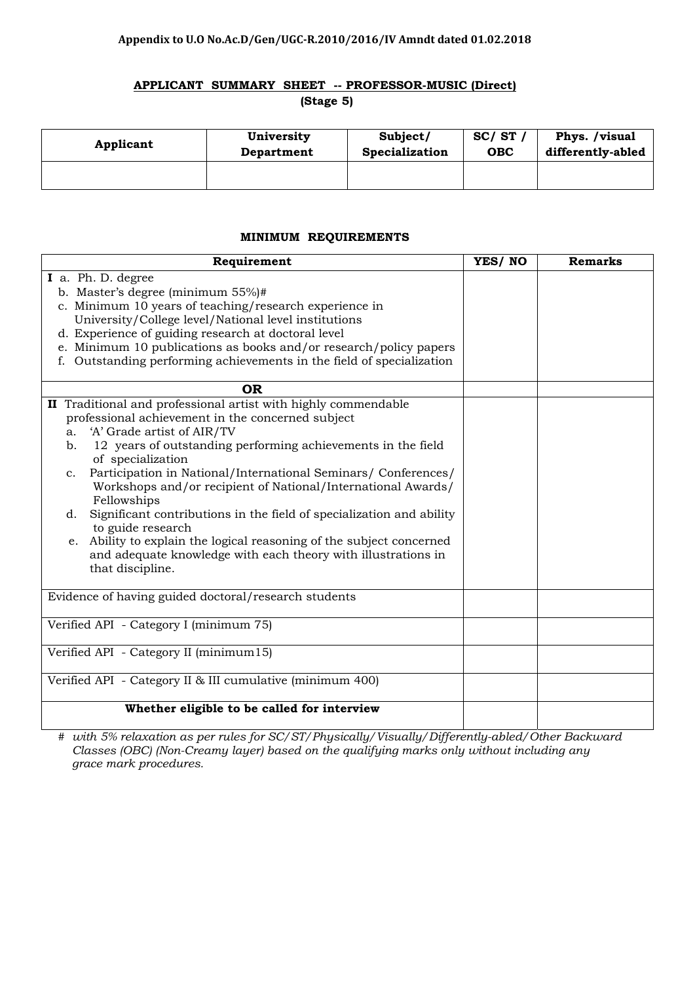# **APPLICANT SUMMARY SHEET -- PROFESSOR-MUSIC (Direct) (Stage 5)**

| Applicant | University | Subject/       | SC/ST      | Phys. /visual     |
|-----------|------------|----------------|------------|-------------------|
|           | Department | Specialization | <b>OBC</b> | differently-abled |
|           |            |                |            |                   |

## **MINIMUM REQUIREMENTS**

| Requirement                                                                      | YES/NO | <b>Remarks</b> |
|----------------------------------------------------------------------------------|--------|----------------|
| I a. Ph. D. degree                                                               |        |                |
| b. Master's degree (minimum $55\%$ )#                                            |        |                |
| c. Minimum 10 years of teaching/research experience in                           |        |                |
| University/College level/National level institutions                             |        |                |
| d. Experience of guiding research at doctoral level                              |        |                |
| e. Minimum 10 publications as books and/or research/policy papers                |        |                |
| f. Outstanding performing achievements in the field of specialization            |        |                |
| <b>OR</b>                                                                        |        |                |
| II Traditional and professional artist with highly commendable                   |        |                |
| professional achievement in the concerned subject                                |        |                |
| 'A' Grade artist of AIR/TV<br>a <sub>1</sub>                                     |        |                |
| 12 years of outstanding performing achievements in the field<br>b.               |        |                |
| of specialization                                                                |        |                |
| Participation in National/International Seminars/ Conferences/<br>$\mathbf{c}$ . |        |                |
| Workshops and/or recipient of National/International Awards/                     |        |                |
| Fellowships                                                                      |        |                |
| Significant contributions in the field of specialization and ability<br>d.       |        |                |
| to guide research                                                                |        |                |
| Ability to explain the logical reasoning of the subject concerned<br>e.          |        |                |
| and adequate knowledge with each theory with illustrations in                    |        |                |
| that discipline.                                                                 |        |                |
| Evidence of having guided doctoral/research students                             |        |                |
|                                                                                  |        |                |
| Verified API - Category I (minimum 75)                                           |        |                |
|                                                                                  |        |                |
| Verified API - Category II (minimum15)                                           |        |                |
| Verified API - Category II & III cumulative (minimum 400)                        |        |                |
| Whether eligible to be called for interview                                      |        |                |
|                                                                                  |        |                |

*# with 5% relaxation as per rules for SC/ST/Physically/Visually/Differently-abled/Other Backward Classes (OBC) (Non-Creamy layer) based on the qualifying marks only without including any grace mark procedures.*